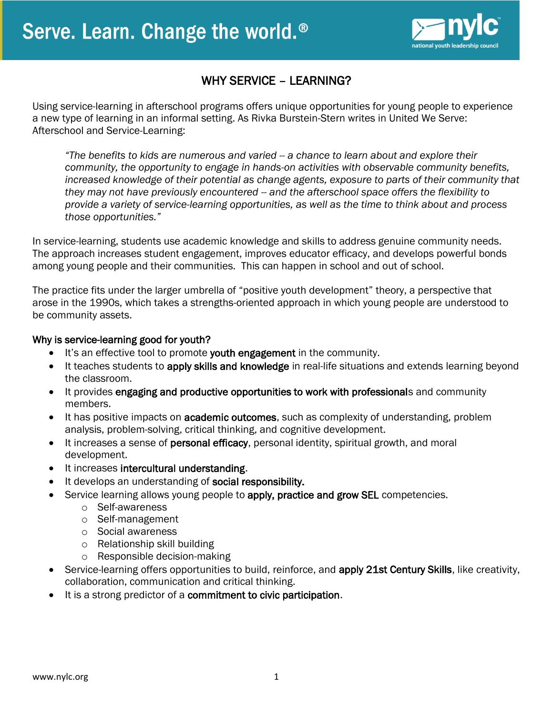

## WHY SERVICE – LEARNING?

Using service-learning in afterschool programs offers unique opportunities for young people to experience a new type of learning in an informal setting. As Rivka Burstein-Stern writes in United We Serve: Afterschool and Service-Learning:

*"The benefits to kids are numerous and varied -- a chance to learn about and explore their community, the opportunity to engage in hands-on activities with observable community benefits, increased knowledge of their potential as change agents, exposure to parts of their community that they may not have previously encountered -- and the afterschool space offers the flexibility to provide a variety of service-learning opportunities, as well as the time to think about and process those opportunities."*

In service-learning, students use academic knowledge and skills to address genuine community needs. The approach increases student engagement, improves educator efficacy, and develops powerful bonds among young people and their communities. This can happen in school and out of school.

The practice fits under the larger umbrella of "positive youth development" theory, a perspective that arose in the 1990s, which takes a strengths-oriented approach in which young people are understood to be community assets.

## Why is service-learning good for youth?

- It's an effective tool to promote youth engagement in the community.
- It teaches students to apply skills and knowledge in real-life situations and extends learning beyond the classroom.
- It provides engaging and productive opportunities to work with professionals and community members.
- It has positive impacts on **academic outcomes**, such as complexity of understanding, problem analysis, problem-solving, critical thinking, and cognitive development.
- It increases a sense of **personal efficacy**, personal identity, spiritual growth, and moral development.
- It increases intercultural understanding.
- It develops an understanding of social responsibility.
- Service learning allows young people to apply,practice and grow SEL competencies.
	- o Self-awareness
	- o Self-management
	- o Social awareness
	- o Relationship skill building
	- o Responsible decision-making
- Service-learning offers opportunities to build, reinforce, and apply 21st Century Skills, like creativity, collaboration, communication and critical thinking.
- It is a strong predictor of a commitment to civic participation.